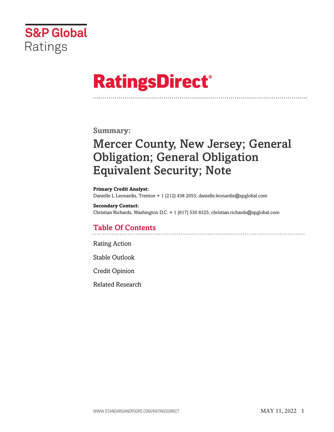

# **RatingsDirect®**

# **Summary:**

# Mercer County, New Jersey; General Obligation; General Obligation Equivalent Security; Note

**Primary Credit Analyst:** Danielle L Leonardis, Trenton + 1 (212) 438 2053; danielle.leonardis@spglobal.com

**Secondary Contact:** Christian Richards, Washington D.C. + 1 (617) 530 8325; christian.richards@spglobal.com

# Table Of Contents

[Rating Action](#page-1-0)

[Stable Outlook](#page-2-0)

[Credit Opinion](#page-2-1)

[Related Research](#page-6-0)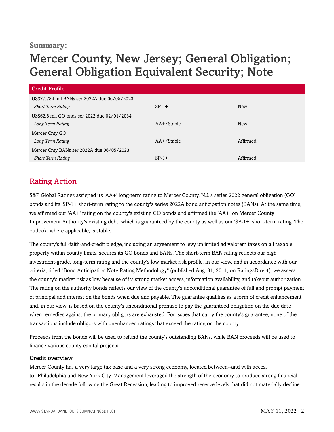### **Summary:**

# Mercer County, New Jersey; General Obligation; General Obligation Equivalent Security; Note

| Credit Profile                               |                 |            |  |
|----------------------------------------------|-----------------|------------|--|
| US\$77.784 mil BANs ser 2022A due 06/05/2023 |                 |            |  |
| <b>Short Term Rating</b>                     | $SP-1+$         | New        |  |
| US\$62.8 mil GO bnds ser 2022 due 02/01/2034 |                 |            |  |
| Long Term Rating                             | $AA + /$ Stable | <b>New</b> |  |
| Mercer Cnty GO                               |                 |            |  |
| Long Term Rating                             | $AA + /$ Stable | Affirmed   |  |
| Mercer Cnty BANs ser 2022A due 06/05/2023    |                 |            |  |
| <b>Short Term Rating</b>                     | $SP-1+$         | Affirmed   |  |

# <span id="page-1-0"></span>Rating Action

S&P Global Ratings assigned its 'AA+' long-term rating to Mercer County, N.J.'s series 2022 general obligation (GO) bonds and its 'SP-1+ short-term rating to the county's series 2022A bond anticipation notes (BANs). At the same time, we affirmed our 'AA+' rating on the county's existing GO bonds and affirmed the 'AA+' on Mercer County Improvement Authority's existing debt, which is guaranteed by the county as well as our 'SP-1+' short-term rating. The outlook, where applicable, is stable.

The county's full-faith-and-credit pledge, including an agreement to levy unlimited ad valorem taxes on all taxable property within county limits, secures its GO bonds and BANs. The short-term BAN rating reflects our high investment-grade, long-term rating and the county's low market risk profile. In our view, and in accordance with our criteria, titled "Bond Anticipation Note Rating Methodology" (published Aug. 31, 2011, on RatingsDirect), we assess the county's market risk as low because of its strong market access, information availability, and takeout authorization. The rating on the authority bonds reflects our view of the county's unconditional guarantee of full and prompt payment of principal and interest on the bonds when due and payable. The guarantee qualifies as a form of credit enhancement and, in our view, is based on the county's unconditional promise to pay the guaranteed obligation on the due date when remedies against the primary obligors are exhausted. For issues that carry the county's guarantee, none of the transactions include obligors with unenhanced ratings that exceed the rating on the county.

Proceeds from the bonds will be used to refund the county's outstanding BANs, while BAN proceeds will be used to finance various county capital projects.

#### Credit overview

Mercer County has a very large tax base and a very strong economy, located between--and with access to--Philadelphia and New York City. Management leveraged the strength of the economy to produce strong financial results in the decade following the Great Recession, leading to improved reserve levels that did not materially decline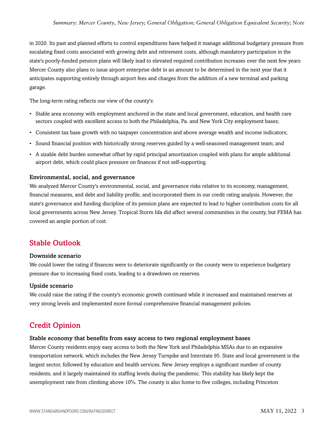in 2020. Its past and planned efforts to control expenditures have helped it manage additional budgetary pressure from escalating fixed costs associated with growing debt and retirement costs, although mandatory participation in the state's poorly-funded pension plans will likely lead to elevated required contribution increases over the next few years Mercer County also plans to issue airport enterprise debt in an amount to be determined in the next year that it anticipates supporting entirely through airport fees and charges from the addition of a new terminal and parking garage.

The long-term rating reflects our view of the county's:

- Stable area economy with employment anchored in the state and local government, education, and health care sectors coupled with excellent access to both the Philadelphia, Pa. and New York City employment bases;
- Consistent tax base growth with no taxpayer concentration and above average wealth and income indicators;
- Sound financial position with historically strong reserves guided by a well-seasoned management team; and
- A sizable debt burden somewhat offset by rapid principal amortization coupled with plans for ample additional airport debt, which could place pressure on finances if not self-supporting.

#### Environmental, social, and governance

We analyzed Mercer County's environmental, social, and governance risks relative to its economy, management, financial measures, and debt and liability profile, and incorporated them in our credit rating analysis. However, the state's governance and funding discipline of its pension plans are expected to lead to higher contribution costs for all local governments across New Jersey. Tropical Storm Ida did affect several communities in the county, but FEMA has covered an ample portion of cost.

# <span id="page-2-0"></span>Stable Outlook

#### Downside scenario

We could lower the rating if finances were to deteriorate significantly or the county were to experience budgetary pressure due to increasing fixed costs, leading to a drawdown on reserves.

#### Upside scenario

We could raise the rating if the county's economic growth continued while it increased and maintained reserves at very strong levels and implemented more formal comprehensive financial management policies.

# <span id="page-2-1"></span>Credit Opinion

#### Stable economy that benefits from easy access to two regional employment bases

Mercer County residents enjoy easy access to both the New York and Philadelphia MSAs due to an expansive transportation network, which includes the New Jersey Turnpike and Interstate 95. State and local government is the largest sector, followed by education and health services. New Jersey employs a significant number of county residents, and it largely maintained its staffing levels during the pandemic. This stability has likely kept the unemployment rate from climbing above 10%. The county is also home to five colleges, including Princeton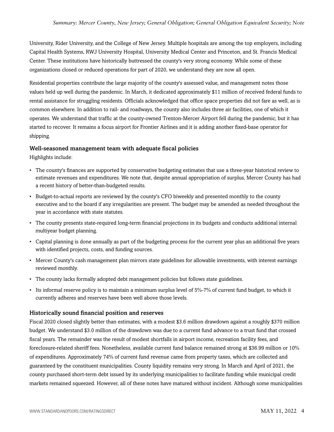University, Rider University, and the College of New Jersey. Multiple hospitals are among the top employers, including Capital Health Systems, RWJ University Hospital, University Medical Center and Princeton, and St. Francis Medical Center. These institutions have historically buttressed the county's very strong economy. While some of these organizations closed or reduced operations for part of 2020, we understand they are now all open.

Residential properties contribute the large majority of the county's assessed value, and management notes those values held up well during the pandemic. In March, it dedicated approximately \$11 million of received federal funds to rental assistance for struggling residents. Officials acknowledged that office space properties did not fare as well, as is common elsewhere. In addition to rail- and roadways, the county also includes three air facilities, one of which it operates. We understand that traffic at the county-owned Trenton-Mercer Airport fell during the pandemic, but it has started to recover. It remains a focus airport for Frontier Airlines and it is adding another fixed-base operator for shipping.

#### Well-seasoned management team with adequate fiscal policies

Highlights include:

- The county's finances are supported by conservative budgeting estimates that use a three-year historical review to estimate revenues and expenditures. We note that, despite annual appropriation of surplus, Mercer County has had a recent history of better-than-budgeted results.
- Budget-to-actual reports are reviewed by the county's CFO biweekly and presented monthly to the county executive and to the board if any irregularities are present. The budget may be amended as needed throughout the year in accordance with state statutes.
- The county presents state-required long-term financial projections in its budgets and conducts additional internal multiyear budget planning.
- Capital planning is done annually as part of the budgeting process for the current year plus an additional five years with identified projects, costs, and funding sources.
- Mercer County's cash management plan mirrors state guidelines for allowable investments, with interest earnings reviewed monthly.
- The county lacks formally adopted debt management policies but follows state guidelines.
- Its informal reserve policy is to maintain a minimum surplus level of 5%-7% of current fund budget, to which it currently adheres and reserves have been well above those levels.

#### Historically sound financial position and reserves

Fiscal 2020 closed slightly better than estimates, with a modest \$3.6 million drawdown against a roughly \$370 million budget. We understand \$3.0 million of the drawdown was due to a current fund advance to a trust fund that crossed fiscal years. The remainder was the result of modest shortfalls in airport income, recreation facility fees, and foreclosure-related sheriff fees. Nonetheless, available current fund balance remained strong at \$36.99 million or 10% of expenditures. Approximately 74% of current fund revenue came from property taxes, which are collected and guaranteed by the constituent municipalities. County liquidity remains very strong. In March and April of 2021, the county purchased short-term debt issued by its underlying municipalities to facilitate funding while municipal credit markets remained squeezed. However, all of these notes have matured without incident. Although some municipalities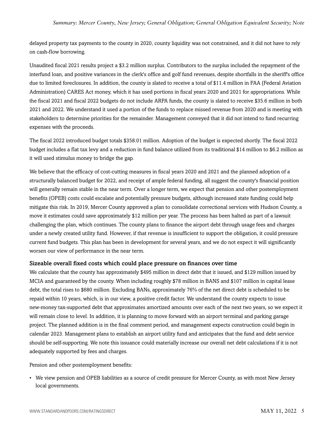delayed property tax payments to the county in 2020, county liquidity was not constrained, and it did not have to rely on cash-flow borrowing.

Unaudited fiscal 2021 results project a \$3.2 million surplus. Contributors to the surplus included the repayment of the interfund loan, and positive variances in the clerk's office and golf fund revenues, despite shortfalls in the sheriff's office due to limited foreclosures. In addition, the county is slated to receive a total of \$11.4 million in FAA (Federal Aviation Administration) CARES Act money, which it has used portions in fiscal years 2020 and 2021 for appropriations. While the fiscal 2021 and fiscal 2022 budgets do not include ARPA funds, the county is slated to receive \$35.6 million in both 2021 and 2022. We understand it used a portion of the funds to replace missed revenue from 2020 and is meeting with stakeholders to determine priorities for the remainder. Management conveyed that it did not intend to fund recurring expenses with the proceeds.

The fiscal 2022 introduced budget totals \$358.01 million. Adoption of the budget is expected shortly. The fiscal 2022 budget includes a flat tax levy and a reduction in fund balance utilized from its traditional \$14 million to \$6.2 million as it will used stimulus money to bridge the gap.

We believe that the efficacy of cost-cutting measures in fiscal years 2020 and 2021 and the planned adoption of a structurally balanced budget for 2022, and receipt of ample federal funding, all suggest the county's financial position will generally remain stable in the near term. Over a longer term, we expect that pension and other postemployment benefits (OPEB) costs could escalate and potentially pressure budgets, although increased state funding could help mitigate this risk. In 2019, Mercer County approved a plan to consolidate correctional services with Hudson County, a move it estimates could save approximately \$12 million per year. The process has been halted as part of a lawsuit challenging the plan, which continues. The county plans to finance the airport debt through usage fees and charges under a newly created utility fund. However, if that revenue is insufficient to support the obligation, it could pressure current fund budgets. This plan has been in development for several years, and we do not expect it will significantly worsen our view of performance in the near term.

#### Sizeable overall fixed costs which could place pressure on finances over time

We calculate that the county has approximately \$495 million in direct debt that it issued, and \$129 million issued by MCIA and guaranteed by the county. When including roughly \$78 million in BANS and \$107 million in capital lease debt, the total rises to \$680 million. Excluding BANs, approximately 76% of the net direct debt is scheduled to be repaid within 10 years, which, is in our view, a positive credit factor. We understand the county expects to issue new-money tax-supported debt that approximates amortized amounts over each of the next two years, so we expect it will remain close to level. In addition, it is planning to move forward with an airport terminal and parking garage project. The planned addition is in the final comment period, and management expects construction could begin in calendar 2023. Management plans to establish an airport utility fund and anticipates that the fund and debt service should be self-supporting. We note this issuance could materially increase our overall net debt calculations if it is not adequately supported by fees and charges.

Pension and other postemployment benefits:

• We view pension and OPEB liabilities as a source of credit pressure for Mercer County, as with most New Jersey local governments.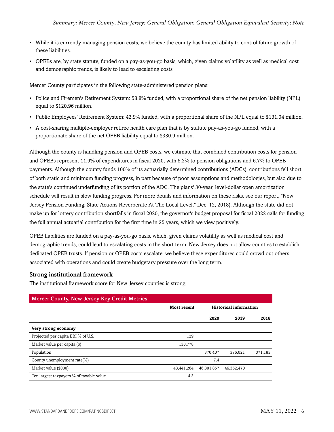- While it is currently managing pension costs, we believe the county has limited ability to control future growth of these liabilities.
- OPEBs are, by state statute, funded on a pay-as-you-go basis, which, given claims volatility as well as medical cost and demographic trends, is likely to lead to escalating costs.

Mercer County participates in the following state-administered pension plans:

- Police and Firemen's Retirement System: 58.8% funded, with a proportional share of the net pension liability (NPL) equal to \$120.96 million.
- Public Employees' Retirement System: 42.9% funded, with a proportional share of the NPL equal to \$131.04 million.
- A cost-sharing multiple-employer retiree health care plan that is by statute pay-as-you-go funded, with a proportionate share of the net OPEB liability equal to \$330.9 million.

Although the county is handling pension and OPEB costs, we estimate that combined contribution costs for pension and OPEBs represent 11.9% of expenditures in fiscal 2020, with 5.2% to pension obligations and 6.7% to OPEB payments. Although the county funds 100% of its actuarially determined contributions (ADCs), contributions fell short of both static and minimum funding progress, in part because of poor assumptions and methodologies, but also due to the state's continued underfunding of its portion of the ADC. The plans' 30-year, level-dollar open amortization schedule will result in slow funding progress. For more details and information on these risks, see our report, "New Jersey Pension Funding: State Actions Reverberate At The Local Level," Dec. 12, 2018). Although the state did not make up for lottery contribution shortfalls in fiscal 2020, the governor's budget proposal for fiscal 2022 calls for funding the full annual actuarial contribution for the first time in 25 years, which we view positively.

OPEB liabilities are funded on a pay-as-you-go basis, which, given claims volatility as well as medical cost and demographic trends, could lead to escalating costs in the short term. New Jersey does not allow counties to establish dedicated OPEB trusts. If pension or OPEB costs escalate, we believe these expenditures could crowd out others associated with operations and could create budgetary pressure over the long term.

#### Strong institutional framework

The institutional framework score for New Jersey counties is strong.

| <b>Mercer County, New Jersey Key Credit Metrics</b> |                    |                               |            |         |
|-----------------------------------------------------|--------------------|-------------------------------|------------|---------|
|                                                     | <b>Most recent</b> | <b>Historical information</b> |            |         |
|                                                     |                    | 2020                          | 2019       | 2018    |
| Very strong economy                                 |                    |                               |            |         |
| Projected per capita EBI % of U.S.                  | 129                |                               |            |         |
| Market value per capita (\$)                        | 130,778            |                               |            |         |
| Population                                          |                    | 370,407                       | 376,021    | 371,183 |
| County unemployment rate(%)                         |                    | 7.4                           |            |         |
| Market value (\$000)                                | 48,441,264         | 46,801,857                    | 46,362,470 |         |
| Ten largest taxpayers % of taxable value            | 4.3                |                               |            |         |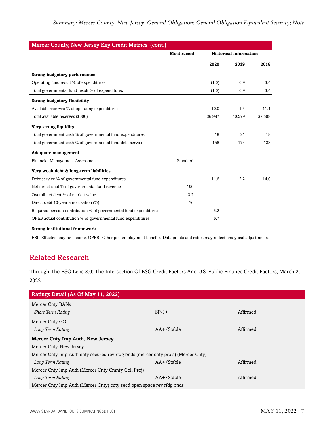|                                                                   | <b>Most recent</b> | <b>Historical information</b> |        |        |
|-------------------------------------------------------------------|--------------------|-------------------------------|--------|--------|
|                                                                   |                    | 2020                          | 2019   | 2018   |
| <b>Strong budgetary performance</b>                               |                    |                               |        |        |
| Operating fund result % of expenditures                           |                    | (1.0)                         | 0.9    | 3.4    |
| Total governmental fund result % of expenditures                  |                    | (1.0)                         | 0.9    | 3.4    |
| <b>Strong budgetary flexibility</b>                               |                    |                               |        |        |
| Available reserves % of operating expenditures                    |                    | 10.0                          | 11.5   | 11.1   |
| Total available reserves (\$000)                                  |                    | 36,987                        | 40,579 | 37,508 |
| Very strong liquidity                                             |                    |                               |        |        |
| Total government cash % of governmental fund expenditures         |                    | 18                            | 21     | 18     |
| Total government cash % of governmental fund debt service         |                    | 158                           | 174    | 128    |
| <b>Adequate management</b>                                        |                    |                               |        |        |
| Financial Management Assessment                                   | Standard           |                               |        |        |
| Very weak debt & long-term liabilities                            |                    |                               |        |        |
| Debt service % of governmental fund expenditures                  |                    | 11.6                          | 12.2   | 14.0   |
| Net direct debt % of governmental fund revenue                    | 190                |                               |        |        |
| Overall net debt % of market value                                | 3.2                |                               |        |        |
| Direct debt 10-year amortization (%)                              | 76                 |                               |        |        |
| Required pension contribution % of governmental fund expenditures |                    | 5.2                           |        |        |
| OPEB actual contribution % of governmental fund expenditures      |                    | 6.7                           |        |        |

<span id="page-6-0"></span>EBI--Effective buying income. OPEB--Other postemployment benefits. Data points and ratios may reflect analytical adjustments.

# Related Research

Through The ESG Lens 3.0: The Intersection Of ESG Credit Factors And U.S. Public Finance Credit Factors, March 2, 2022

| Ratings Detail (As Of May 11, 2022)                                               |               |          |  |
|-----------------------------------------------------------------------------------|---------------|----------|--|
| Mercer Cnty BANs                                                                  |               |          |  |
| <b>Short Term Rating</b>                                                          | $SP-1+$       | Affirmed |  |
| Mercer Cnty GO                                                                    |               |          |  |
| Long Term Rating                                                                  | $AA+$ /Stable | Affirmed |  |
| <b>Mercer Cnty Imp Auth, New Jersey</b>                                           |               |          |  |
| Mercer Cnty, New Jersey                                                           |               |          |  |
| Mercer Cnty Imp Auth cnty secured rev rfdg bnds (mercer cnty projs) (Mercer Cnty) |               |          |  |
| Long Term Rating                                                                  | $AA+$ /Stable | Affirmed |  |
| Mercer Cnty Imp Auth (Mercer Cnty Cmnty Coll Proj)                                |               |          |  |
| Long Term Rating                                                                  | $AA+$ /Stable | Affirmed |  |
| Mercer Cnty Imp Auth (Mercer Cnty) cnty secd open space rev rfdg bnds             |               |          |  |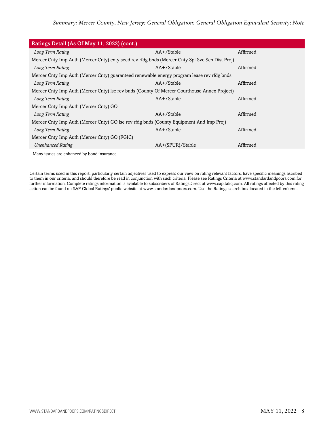| Ratings Detail (As Of May 11, 2022) (cont.)                                                    |                  |          |
|------------------------------------------------------------------------------------------------|------------------|----------|
| Long Term Rating                                                                               | AA+/Stable       | Affirmed |
| Mercer Cnty Imp Auth (Mercer Cnty) cnty secd rev rfdg bnds (Mercer Cnty Spl Svc Sch Dist Proj) |                  |          |
| Long Term Rating                                                                               | AA+/Stable       | Affirmed |
| Mercer Cnty Imp Auth (Mercer Cnty) guaranteed renewable energy program lease rev rfdg bnds     |                  |          |
| Long Term Rating                                                                               | AA+/Stable       | Affirmed |
| Mercer Cnty Imp Auth (Mercer Cnty) lse rev bnds (County Of Mercer Courthouse Annex Project)    |                  |          |
| Long Term Rating                                                                               | AA+/Stable       | Affirmed |
| Mercer Cnty Imp Auth (Mercer Cnty) GO                                                          |                  |          |
| Long Term Rating                                                                               | $AA + /$ Stable  | Affirmed |
| Mercer Cnty Imp Auth (Mercer Cnty) GO lse rev rfdg bnds (County Equipment And Imp Proj)        |                  |          |
| Long Term Rating                                                                               | AA+/Stable       | Affirmed |
| Mercer Cnty Imp Auth (Mercer Cnty) GO (FGIC)                                                   |                  |          |
| <b>Unenhanced Rating</b>                                                                       | AA+(SPUR)/Stable | Affirmed |
| Many issues are enhanced by bond insurance.                                                    |                  |          |

Certain terms used in this report, particularly certain adjectives used to express our view on rating relevant factors, have specific meanings ascribed to them in our criteria, and should therefore be read in conjunction with such criteria. Please see Ratings Criteria at www.standardandpoors.com for further information. Complete ratings information is available to subscribers of RatingsDirect at www.capitaliq.com. All ratings affected by this rating action can be found on S&P Global Ratings' public website at www.standardandpoors.com. Use the Ratings search box located in the left column.